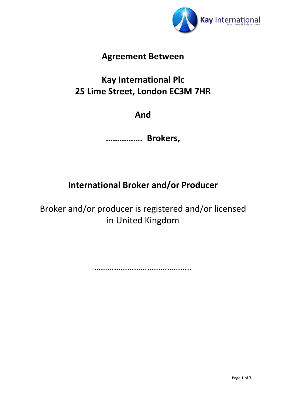

## **Agreement Between**

# **Kay International Plc 25 Lime Street, London EC3M 7HR**

## **And**

**……………. Brokers,**

## **International Broker and/or Producer**

Broker and/or producer is registered and/or licensed in United Kingdom

……………………………………………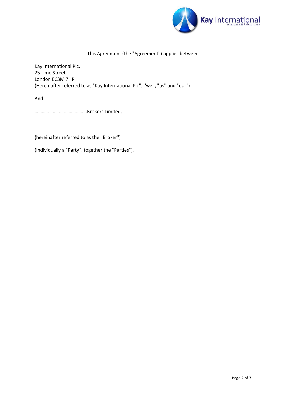

## This Agreement (the "Agreement") applies between

Kay International Plc, 25 Lime Street London EC3M 7HR (Hereinafter referred to as "Kay International Plc", ''we'', "us" and "our")

And:

…………………………………….Brokers Limited,

(hereinafter referred to as the "Broker")

(Individually a "Party", together the "Parties").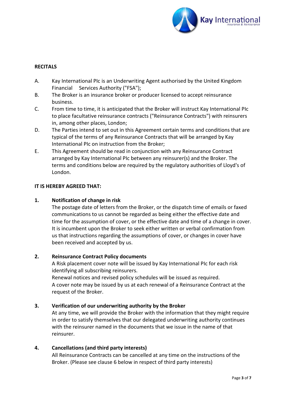

## **RECITALS**

- A. Kay International PIc is an Underwriting Agent authorised by the United Kingdom Financial Services Authority ("FSA");
- B. The Broker is an insurance broker or producer licensed to accept reinsurance business.
- C. From time to time, it is anticipated that the Broker will instruct Kay International PIc to place facultative reinsurance contracts ("Reinsurance Contracts") with reinsurers in, among other places, London;
- D. The Parties intend to set out in this Agreement certain terms and conditions that are typical of the terms of any Reinsurance Contracts that will be arranged by Kay International PIc on instruction from the Broker;
- E. This Agreement should be read in conjunction with any Reinsurance Contract arranged by Kay International PIc between any reinsurer(s) and the Broker. The terms and conditions below are required by the regulatory authorities of Lloyd's of London.

#### **IT IS HEREBY AGREED THAT:**

#### **1. Notification of change in risk**

The postage date of letters from the Broker, or the dispatch time of emails or faxed communications to us cannot be regarded as being either the effective date and time for the assumption of cover, or the effective date and time of a change in cover. It is incumbent upon the Broker to seek either written or verbal confirmation from us that instructions regarding the assumptions of cover, or changes in cover have been received and accepted by us.

#### **2. Reinsurance Contract Policy documents**

A Risk placement cover note will be issued by Kay International PIc for each risk identifying all subscribing reinsurers.

Renewal notices and revised policy schedules will be issued as required. A cover note may be issued by us at each renewal of a Reinsurance Contract at the request of the Broker.

#### **3. Verification of our underwriting authority by the Broker**

At any time, we will provide the Broker with the information that they might require in order to satisfy themselves that our delegated underwriting authority continues with the reinsurer named in the documents that we issue in the name of that reinsurer.

#### **4. Cancellations (and third party interests)**

All Reinsurance Contracts can be cancelled at any time on the instructions of the Broker. (Please see clause 6 below in respect of third party interests)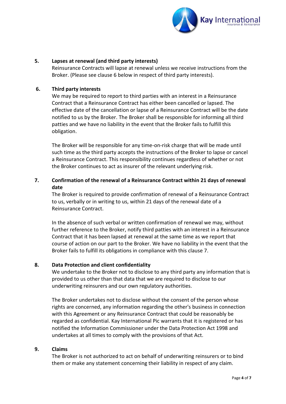

#### **5. Lapses at renewal (and third party interests)**

Reinsurance Contracts will lapse at renewal unless we receive instructions from the Broker. (Please see clause 6 below in respect of third party interests).

#### **6. Third party interests**

We may be required to report to third parties with an interest in a Reinsurance Contract that a Reinsurance Contract has either been cancelled or lapsed. The effective date of the cancellation or lapse of a Reinsurance Contract will be the date notified to us by the Broker. The Broker shall be responsible for informing all third patties and we have no liability in the event that the Broker fails to fulfill this obligation.

The Broker will be responsible for any time-on-risk charge that will be made until such time as the third party accepts the instructions of the Broker to lapse or cancel a Reinsurance Contract. This responsibility continues regardless of whether or not the Broker continues to act as insurer of the relevant underlying risk.

## **7. Confirmation of the renewal of a Reinsurance Contract within 21 days of renewal date**

The Broker is required to provide confirmation of renewal of a Reinsurance Contract to us, verbally or in writing to us, within 21 days of the renewal date of a Reinsurance Contract.

In the absence of such verbal or written confirmation of renewal we may, without further reference to the Broker, notify third patties with an interest in a Reinsurance Contract that it has been lapsed at renewal at the same time as we report that course of action on our part to the Broker. We have no liability in the event that the Broker fails to fulfill its obligations in compliance with this clause 7.

#### **8. Data Protection and client confidentiality**

We undertake to the Broker not to disclose to any third party any information that is provided to us other than that data that we are required to disclose to our underwriting reinsurers and our own regulatory authorities.

The Broker undertakes not to disclose without the consent of the person whose rights are concerned, any information regarding the other's business in connection with this Agreement or any Reinsurance Contract that could be reasonably be regarded as confidential. Kay International Pic warrants that it is registered or has notified the Information Commissioner under the Data Protection Act 1998 and undertakes at all times to comply with the provisions of that Act.

#### **9. Claims**

The Broker is not authorized to act on behalf of underwriting reinsurers or to bind them or make any statement concerning their liability in respect of any claim.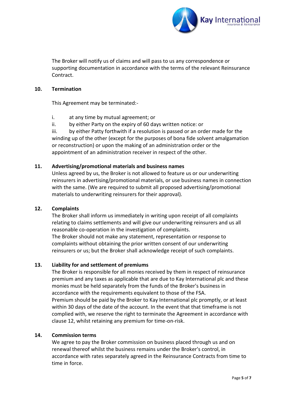

The Broker will notify us of claims and will pass to us any correspondence or supporting documentation in accordance with the terms of the relevant Reinsurance Contract.

#### **10. Termination**

This Agreement may be terminated:-

- i. at any time by mutual agreement; or
- ii. by either Party on the expiry of 60 days written notice: or

iii. by either Patty forthwith if a resolution is passed or an order made for the winding up of the other (except for the purposes of bona fide solvent amalgamation or reconstruction) or upon the making of an administration order or the appointment of an administration receiver in respect of the other.

#### **11. Advertising/promotional materials and business names**

Unless agreed by us, the Broker is not allowed to feature us or our underwriting reinsurers in advertising/promotional materials, or use business names in connection with the same. (We are required to submit all proposed advertising/promotional materials to underwriting reinsurers for their approval).

#### **12. Complaints**

The Broker shall inform us immediately in writing upon receipt of all complaints relating to claims settlements and will give our underwriting reinsurers and us all reasonable co-operation in the investigation of complaints.

The Broker should not make any statement, representation or response to complaints without obtaining the prior written consent of our underwriting reinsurers or us; but the Broker shall acknowledge receipt of such complaints.

### **13. Liability for and settlement of premiums**

The Broker is responsible for all monies received by them in respect of reinsurance premium and any taxes as applicable that are due to Kay International plc and these monies must be held separately from the funds of the Broker's business in accordance with the requirements equivalent to those of the FSA. Premium should be paid by the Broker to Kay International plc promptly, or at least within 30 days of the date of the account. In the event that that timeframe is not complied with, we reserve the right to terminate the Agreement in accordance with clause 12, whilst retaining any premium for time-on-risk.

#### **14. Commission terms**

We agree to pay the Broker commission on business placed through us and on renewal thereof whilst the business remains under the Broker's control, in accordance with rates separately agreed in the Reinsurance Contracts from time to time in force.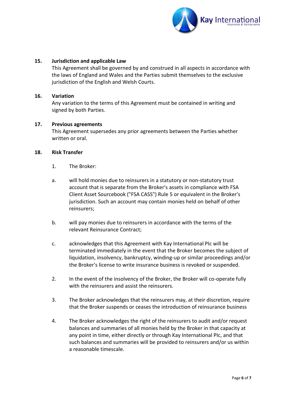

#### **15. Jurisdiction and applicable Law**

This Agreement shall be governed by and construed in all aspects in accordance with the laws of England and Wales and the Parties submit themselves to the exclusive jurisdiction of the English and Welsh Courts.

#### **16. Variation**

Any variation to the terms of this Agreement must be contained in writing and signed by both Parties.

#### **17. Previous agreements**

This Agreement supersedes any prior agreements between the Parties whether written or oral.

#### **18. Risk Transfer**

- 1. The Broker:
- a. will hold monies due to reinsurers in a statutory or non-statutory trust account that is separate from the Broker's assets in compliance with FSA Client Asset Sourcebook ("FSA CASS") Rule 5 or equivalent in the Broker's jurisdiction. Such an account may contain monies held on behalf of other reinsurers;
- b. will pay monies due to reinsurers in accordance with the terms of the relevant Reinsurance Contract;
- c. acknowledges that this Agreement with Kay International PIc will be terminated immediately in the event that the Broker becomes the subject of liquidation, insolvency, bankruptcy, winding-up or similar proceedings and/or the Broker's license to write insurance business is revoked or suspended.
- 2. In the event of the insolvency of the Broker, the Broker will co-operate fully with the reinsurers and assist the reinsurers.
- 3. The Broker acknowledges that the reinsurers may, at their discretion, require that the Broker suspends or ceases the introduction of reinsurance business
- 4. The Broker acknowledges the right of the reinsurers to audit and/or request balances and summaries of all monies held by the Broker in that capacity at any point in time, either directly or through Kay International PIc, and that such balances and summaries will be provided to reinsurers and/or us within a reasonable timescale.